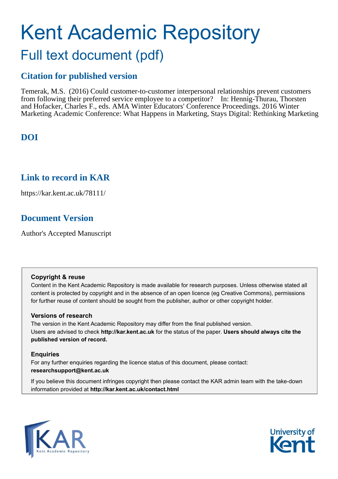# Kent Academic Repository Full text document (pdf)

# **Citation for published version**

Temerak, M.S. (2016) Could customer-to-customer interpersonal relationships prevent customers from following their preferred service employee to a competitor? In: Hennig-Thurau, Thorsten and Hofacker, Charles F., eds. AMA Winter Educators' Conference Proceedings. 2016 Winter Marketing Academic Conference: What Happens in Marketing, Stays Digital: Rethinking Marketing

# **DOI**

# **Link to record in KAR**

https://kar.kent.ac.uk/78111/

# **Document Version**

Author's Accepted Manuscript

## **Copyright & reuse**

Content in the Kent Academic Repository is made available for research purposes. Unless otherwise stated all content is protected by copyright and in the absence of an open licence (eg Creative Commons), permissions for further reuse of content should be sought from the publisher, author or other copyright holder.

## **Versions of research**

The version in the Kent Academic Repository may differ from the final published version. Users are advised to check **http://kar.kent.ac.uk** for the status of the paper. **Users should always cite the published version of record.**

## **Enquiries**

For any further enquiries regarding the licence status of this document, please contact: **researchsupport@kent.ac.uk**

If you believe this document infringes copyright then please contact the KAR admin team with the take-down information provided at **http://kar.kent.ac.uk/contact.html**



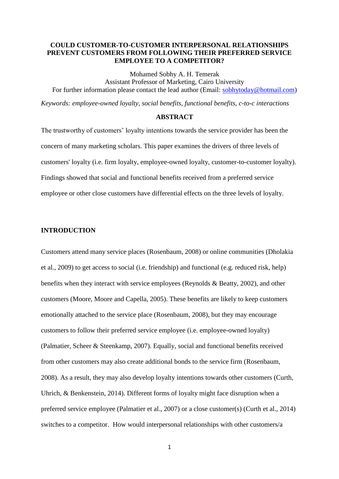#### **COULD CUSTOMER-TO-CUSTOMER INTERPERSONAL RELATIONSHIPS PREVENT CUSTOMERS FROM FOLLOWING THEIR PREFERRED SERVICE EMPLOYEE TO A COMPETITOR?**

Mohamed Sobhy A. H. Temerak Assistant Professor of Marketing, Cairo University For further information please contact the lead author (Email: [sobhytoday@hotmail.com\)](mailto:sobhytoday@hotmail.com)

*Keywords: employee-owned loyalty, social benefits, functional benefits, c-to-c interactions*

#### **ABSTRACT**

The trustworthy of customers' loyalty intentions towards the service provider has been the concern of many marketing scholars. This paper examines the drivers of three levels of customers' loyalty (i.e. firm loyalty, employee-owned loyalty, customer-to-customer loyalty). Findings showed that social and functional benefits received from a preferred service employee or other close customers have differential effects on the three levels of loyalty.

#### **INTRODUCTION**

Customers attend many service places (Rosenbaum, 2008) or online communities (Dholakia et al., 2009) to get access to social (i.e. friendship) and functional (e.g. reduced risk, help) benefits when they interact with service employees (Reynolds & Beatty, 2002), and other customers (Moore, Moore and Capella, 2005). These benefits are likely to keep customers emotionally attached to the service place (Rosenbaum, 2008), but they may encourage customers to follow their preferred service employee (i.e. employee-owned loyalty) (Palmatier, Scheer & Steenkamp, 2007). Equally, social and functional benefits received from other customers may also create additional bonds to the service firm (Rosenbaum, 2008). As a result, they may also develop loyalty intentions towards other customers (Curth, Uhrich, & Benkenstein, 2014). Different forms of loyalty might face disruption when a preferred service employee (Palmatier et al., 2007) or a close customer(s) (Curth et al., 2014) switches to a competitor. How would interpersonal relationships with other customers/a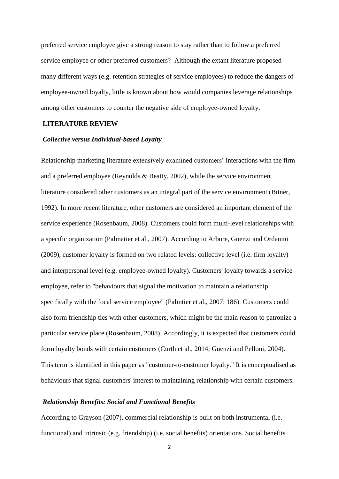preferred service employee give a strong reason to stay rather than to follow a preferred service employee or other preferred customers? Although the extant literature proposed many different ways (e.g. retention strategies of service employees) to reduce the dangers of employee-owned loyalty, little is known about how would companies leverage relationships among other customers to counter the negative side of employee-owned loyalty.

#### **LITERATURE REVIEW**

#### *Collective versus Individual-based Loyalty*

Relationship marketing literature extensively examined customers' interactions with the firm and a preferred employee (Reynolds & Beatty, 2002), while the service environment literature considered other customers as an integral part of the service environment (Bitner, 1992). In more recent literature, other customers are considered an important element of the service experience (Rosenbaum, 2008). Customers could form multi-level relationships with a specific organization (Palmatier et al., 2007). According to Arbore, Guenzi and Ordanini (2009), customer loyalty is formed on two related levels: collective level (i.e. firm loyalty) and interpersonal level (e.g. employee-owned loyalty). Customers' loyalty towards a service employee, refer to "behaviours that signal the motivation to maintain a relationship specifically with the focal service employee" (Palmtier et al., 2007: 186). Customers could also form friendship ties with other customers, which might be the main reason to patronize a particular service place (Rosenbaum, 2008). Accordingly, it is expected that customers could form loyalty bonds with certain customers (Curth et al., 2014; Guenzi and Pelloni, 2004). This term is identified in this paper as "customer-to-customer loyalty." It is conceptualised as behaviours that signal customers' interest to maintaining relationship with certain customers.

#### *Relationship Benefits: Social and Functional Benefits*

According to Grayson (2007), commercial relationship is built on both instrumental (i.e. functional) and intrinsic (e.g. friendship) (i.e. social benefits) orientations. Social benefits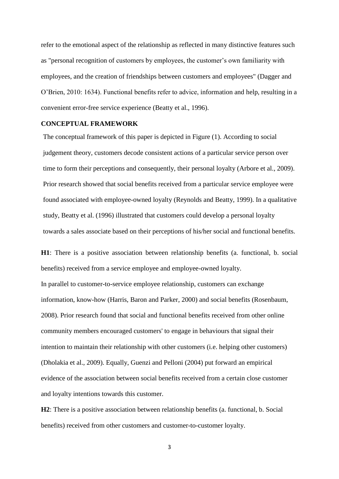refer to the emotional aspect of the relationship as reflected in many distinctive features such as "personal recognition of customers by employees, the customer's own familiarity with employees, and the creation of friendships between customers and employees" (Dagger and O'Brien, 2010: 1634). Functional benefits refer to advice, information and help, resulting in a convenient error-free service experience (Beatty et al., 1996).

#### **CONCEPTUAL FRAMEWORK**

The conceptual framework of this paper is depicted in Figure (1). According to social judgement theory, customers decode consistent actions of a particular service person over time to form their perceptions and consequently, their personal loyalty (Arbore et al., 2009). Prior research showed that social benefits received from a particular service employee were found associated with employee-owned loyalty (Reynolds and Beatty, 1999). In a qualitative study, Beatty et al. (1996) illustrated that customers could develop a personal loyalty towards a sales associate based on their perceptions of his/her social and functional benefits.

**H1**: There is a positive association between relationship benefits (a. functional, b. social benefits) received from a service employee and employee-owned loyalty. In parallel to customer-to-service employee relationship, customers can exchange information, know-how (Harris, Baron and Parker, 2000) and social benefits (Rosenbaum, 2008). Prior research found that social and functional benefits received from other online community members encouraged customers' to engage in behaviours that signal their intention to maintain their relationship with other customers (i.e. helping other customers) (Dholakia et al., 2009). Equally, Guenzi and Pelloni (2004) put forward an empirical evidence of the association between social benefits received from a certain close customer and loyalty intentions towards this customer.

**H2**: There is a positive association between relationship benefits (a. functional, b. Social benefits) received from other customers and customer-to-customer loyalty.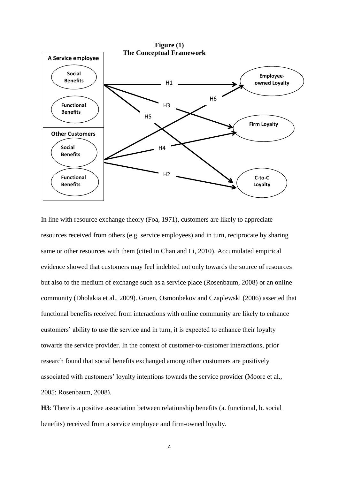

In line with resource exchange theory (Foa, 1971), customers are likely to appreciate resources received from others (e.g. service employees) and in turn, reciprocate by sharing same or other resources with them (cited in Chan and Li, 2010). Accumulated empirical evidence showed that customers may feel indebted not only towards the source of resources but also to the medium of exchange such as a service place (Rosenbaum, 2008) or an online community (Dholakia et al., 2009). Gruen, Osmonbekov and Czaplewski (2006) asserted that functional benefits received from interactions with online community are likely to enhance customers' ability to use the service and in turn, it is expected to enhance their loyalty towards the service provider. In the context of customer-to-customer interactions, prior research found that social benefits exchanged among other customers are positively associated with customers' loyalty intentions towards the service provider (Moore et al., 2005; Rosenbaum, 2008).

**H3**: There is a positive association between relationship benefits (a. functional, b. social benefits) received from a service employee and firm-owned loyalty.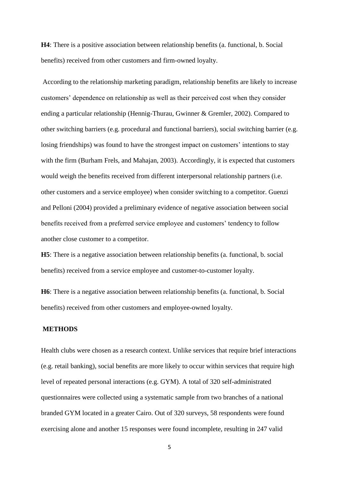**H4**: There is a positive association between relationship benefits (a. functional, b. Social benefits) received from other customers and firm-owned loyalty.

According to the relationship marketing paradigm, relationship benefits are likely to increase customers' dependence on relationship as well as their perceived cost when they consider ending a particular relationship (Hennig-Thurau, Gwinner & Gremler, 2002). Compared to other switching barriers (e.g. procedural and functional barriers), social switching barrier (e.g. losing friendships) was found to have the strongest impact on customers' intentions to stay with the firm (Burham Frels, and Mahajan, 2003). Accordingly, it is expected that customers would weigh the benefits received from different interpersonal relationship partners (i.e. other customers and a service employee) when consider switching to a competitor. Guenzi and Pelloni (2004) provided a preliminary evidence of negative association between social benefits received from a preferred service employee and customers' tendency to follow another close customer to a competitor.

**H5**: There is a negative association between relationship benefits (a. functional, b. social benefits) received from a service employee and customer-to-customer loyalty.

**H6**: There is a negative association between relationship benefits (a. functional, b. Social benefits) received from other customers and employee-owned loyalty.

#### **METHODS**

Health clubs were chosen as a research context. Unlike services that require brief interactions (e.g. retail banking), social benefits are more likely to occur within services that require high level of repeated personal interactions (e.g. GYM). A total of 320 self-administrated questionnaires were collected using a systematic sample from two branches of a national branded GYM located in a greater Cairo. Out of 320 surveys, 58 respondents were found exercising alone and another 15 responses were found incomplete, resulting in 247 valid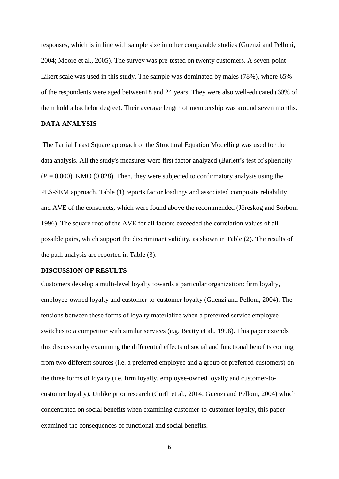responses, which is in line with sample size in other comparable studies (Guenzi and Pelloni, 2004; Moore et al., 2005). The survey was pre-tested on twenty customers. A seven-point Likert scale was used in this study. The sample was dominated by males (78%), where 65% of the respondents were aged between18 and 24 years. They were also well-educated (60% of them hold a bachelor degree). Their average length of membership was around seven months.

#### **DATA ANALYSIS**

The Partial Least Square approach of the Structural Equation Modelling was used for the data analysis. All the study's measures were first factor analyzed (Barlett's test of sphericity  $(P = 0.000)$ , KMO (0.828). Then, they were subjected to confirmatory analysis using the PLS-SEM approach. Table (1) reports factor loadings and associated composite reliability and AVE of the constructs, which were found above the recommended (Jöreskog and Sörbom 1996). The square root of the AVE for all factors exceeded the correlation values of all possible pairs, which support the discriminant validity, as shown in Table (2). The results of the path analysis are reported in Table (3).

#### **DISCUSSION OF RESULTS**

Customers develop a multi-level loyalty towards a particular organization: firm loyalty, employee-owned loyalty and customer-to-customer loyalty (Guenzi and Pelloni, 2004). The tensions between these forms of loyalty materialize when a preferred service employee switches to a competitor with similar services (e.g. Beatty et al., 1996). This paper extends this discussion by examining the differential effects of social and functional benefits coming from two different sources (i.e. a preferred employee and a group of preferred customers) on the three forms of loyalty (i.e. firm loyalty, employee-owned loyalty and customer-tocustomer loyalty). Unlike prior research (Curth et al., 2014; Guenzi and Pelloni, 2004) which concentrated on social benefits when examining customer-to-customer loyalty, this paper examined the consequences of functional and social benefits.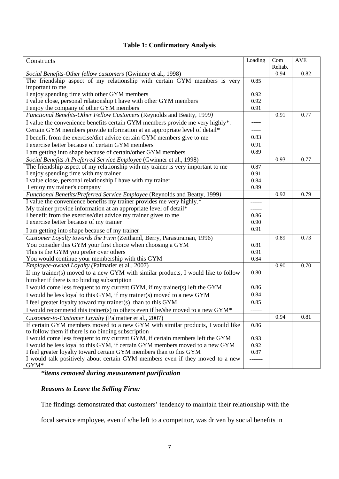## **Table 1: Confirmatory Analysis**

| Constructs                                                                                                                          | Loading | Com<br>Reliab. | <b>AVE</b> |
|-------------------------------------------------------------------------------------------------------------------------------------|---------|----------------|------------|
| Social Benefits-Other fellow customers (Gwinner et al., 1998)                                                                       |         | 0.94           | 0.82       |
| The friendship aspect of my relationship with certain GYM members is very                                                           | 0.85    |                |            |
| important to me                                                                                                                     |         |                |            |
| I enjoy spending time with other GYM members                                                                                        | 0.92    |                |            |
| I value close, personal relationship I have with other GYM members                                                                  | 0.92    |                |            |
| I enjoy the company of other GYM members                                                                                            | 0.91    |                |            |
| Functional Benefits-Other Fellow Customers (Reynolds and Beatty, 1999)                                                              |         | 0.91           | 0.77       |
| I value the convenience benefits certain GYM members provide me very highly*.                                                       | -----   |                |            |
| Certain GYM members provide information at an appropriate level of detail*                                                          |         |                |            |
| I benefit from the exercise/diet advice certain GYM members give to me                                                              | 0.83    |                |            |
| I exercise better because of certain GYM members                                                                                    | 0.91    |                |            |
| I am getting into shape because of certain/other GYM members                                                                        | 0.89    |                |            |
| Social Benefits-A Preferred Service Employee (Gwinner et al., 1998)                                                                 |         | 0.93           | 0.77       |
| The friendship aspect of my relationship with my trainer is very important to me                                                    | 0.87    |                |            |
| I enjoy spending time with my trainer                                                                                               | 0.91    |                |            |
| I value close, personal relationship I have with my trainer                                                                         | 0.84    |                |            |
| I enjoy my trainer's company                                                                                                        | 0.89    |                |            |
| Functional Benefits/Preferred Service Employee (Reynolds and Beatty, 1999)                                                          |         | 0.92           | 0.79       |
| I value the convenience benefits my trainer provides me very highly.*                                                               |         |                |            |
| My trainer provide information at an appropriate level of detail*                                                                   |         |                |            |
| I benefit from the exercise/diet advice my trainer gives to me                                                                      | 0.86    |                |            |
| I exercise better because of my trainer                                                                                             | 0.90    |                |            |
| I am getting into shape because of my trainer                                                                                       | 0.91    |                |            |
| Customer Loyalty towards the Firm (Zeithaml, Berry, Parasuraman, 1996)                                                              |         | 0.89           | 0.73       |
| You consider this GYM your first choice when choosing a GYM                                                                         | 0.81    |                |            |
| This is the GYM you prefer over others                                                                                              | 0.91    |                |            |
| You would continue your membership with this GYM                                                                                    | 0.84    |                |            |
| Employee-owned Loyalty (Palmatier et al., 2007)                                                                                     |         | 0.90           | 0.70       |
| If my trainer(s) moved to a new GYM with similar products, I would like to follow                                                   | 0.80    |                |            |
| him/her if there is no binding subscription                                                                                         |         |                |            |
| I would come less frequent to my current GYM, if my trainer(s) left the GYM                                                         | 0.86    |                |            |
| I would be less loyal to this GYM, if my trainer(s) moved to a new GYM                                                              | 0.84    |                |            |
| I feel greater loyalty toward my trainer(s) than to this GYM                                                                        | 0.85    |                |            |
| I would recommend this trainer(s) to others even if he/she moved to a new GYM*                                                      |         |                |            |
| Customer-to-Customer Loyalty (Palmatier et al., 2007)                                                                               |         | 0.94           | 0.81       |
| If certain GYM members moved to a new GYM with similar products, I would like<br>to follow them if there is no binding subscription | 0.86    |                |            |
| I would come less frequent to my current GYM, if certain members left the GYM                                                       | 0.93    |                |            |
| I would be less loyal to this GYM, if certain GYM members moved to a new GYM                                                        | 0.92    |                |            |
| I feel greater loyalty toward certain GYM members than to this GYM                                                                  | 0.87    |                |            |
| I would talk positively about certain GYM members even if they moved to a new                                                       |         |                |            |
| $\mbox{GYM}^*$                                                                                                                      |         |                |            |

*\*items removed during measurement purification*

## *Reasons to Leave the Selling Firm:*

The findings demonstrated that customers' tendency to maintain their relationship with the

focal service employee, even if s/he left to a competitor, was driven by social benefits in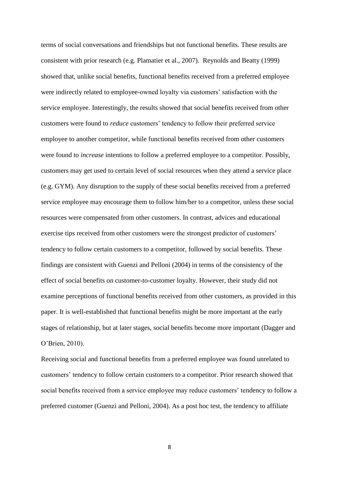terms of social conversations and friendships but not functional benefits. These results are consistent with prior research (e.g. Plamatier et al., 2007). Reynolds and Beatty (1999) showed that, unlike social benefits, functional benefits received from a preferred employee were indirectly related to employee-owned loyalty via customers' satisfaction with the service employee. Interestingly, the results showed that social benefits received from other customers were found to *reduce* customers' tendency to follow their preferred service employee to another competitor, while functional benefits received from other customers were found to *increase* intentions to follow a preferred employee to a competitor. Possibly, customers may get used to certain level of social resources when they attend a service place (e.g. GYM). Any disruption to the supply of these social benefits received from a preferred service employee may encourage them to follow him/her to a competitor, unless these social resources were compensated from other customers. In contrast, advices and educational exercise tips received from other customers were the strongest predictor of customers' tendency to follow certain customers to a competitor, followed by social benefits. These findings are consistent with Guenzi and Pelloni (2004) in terms of the consistency of the effect of social benefits on customer-to-customer loyalty. However, their study did not examine perceptions of functional benefits received from other customers, as provided in this paper. It is well-established that functional benefits might be more important at the early stages of relationship, but at later stages, social benefits become more important (Dagger and O'Brien, 2010).

Receiving social and functional benefits from a preferred employee was found unrelated to customers' tendency to follow certain customers to a competitor. Prior research showed that social benefits received from a service employee may reduce customers' tendency to follow a preferred customer (Guenzi and Pelloni, 2004). As a post hoc test, the tendency to affiliate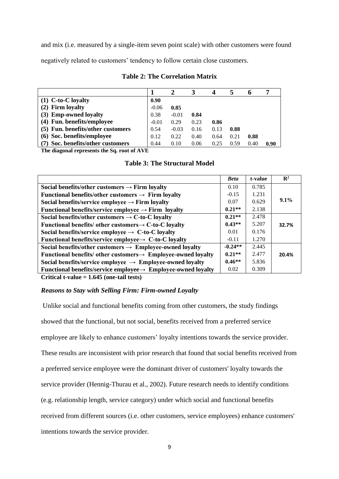and mix (i.e. measured by a single-item seven point scale) with other customers were found negatively related to customers' tendency to follow certain close customers.

|                                   |         |         |      | 4    |      | o    | п.   |
|-----------------------------------|---------|---------|------|------|------|------|------|
| $(1)$ C-to-C loyalty              | 0.90    |         |      |      |      |      |      |
| (2) Firm loyalty                  | $-0.06$ | 0.85    |      |      |      |      |      |
| (3) Emp-owned loyalty             | 0.38    | $-0.01$ | 0.84 |      |      |      |      |
| (4) Fun. benefits/employee        | $-0.01$ | 0.29    | 0.23 | 0.86 |      |      |      |
| (5) Fun. benefits/other customers | 0.54    | $-0.03$ | 0.16 | 0.13 | 0.88 |      |      |
| (6) Soc. benefits/employee        | 0.12    | 0.22    | 0.40 | 0.64 | 0.21 | 0.88 |      |
| (7) Soc. benefits/other customers | 0.44    | 0.10    | 0.06 | 0.25 | 0.59 | 0.40 | 0.90 |

#### **Table 2: The Correlation Matrix**

**The diagonal represents the Sq. root of AVE**

|                                                                           | <b>Beta</b> | t-value | $\mathbf{R}^2$ |
|---------------------------------------------------------------------------|-------------|---------|----------------|
| Social benefits/other customers $\rightarrow$ Firm loyalty                | 0.10        | 0.785   |                |
| Functional benefits/other customers $\rightarrow$ Firm loyalty            | $-0.15$     | 1.231   |                |
| Social benefits/service employee $\rightarrow$ Firm loyalty               | 0.07        | 0.629   | $9.1\%$        |
| Functional benefits/service employee $\rightarrow$ Firm loyalty           | $0.21**$    | 2.138   |                |
| Social benefits/other customers $\rightarrow$ C-to-C loyalty              | $0.21**$    | 2.478   |                |
| Functional benefits/ other customers $\rightarrow$ C-to-C loyalty         | $0.43**$    | 5.207   | 32.7%          |
| Social benefits/service employee $\rightarrow$ C-to-C loyalty             | 0.01        | 0.176   |                |
| Functional benefits/service employee $\rightarrow$ C-to-C loyalty         | $-0.11$     | 1.270   |                |
| Social benefits/other customers $\rightarrow$ Employee-owned loyalty      | $-0.24**$   | 2.445   |                |
| Functional benefits/ other customers $\rightarrow$ Employee-owned loyalty | $0.21**$    | 2.477   | 20.4%          |
| Social benefits/service employee $\rightarrow$ Employee-owned loyalty     | $0.46**$    | 5.836   |                |
| Functional benefits/service employee $\rightarrow$ Employee-owned loyalty | 0.02        | 0.309   |                |

**Critical t-value = 1.645 (one-tail tests)**

#### *Reasons to Stay with Selling Firm: Firm-owned Loyalty*

Unlike social and functional benefits coming from other customers, the study findings showed that the functional, but not social, benefits received from a preferred service employee are likely to enhance customers' loyalty intentions towards the service provider. These results are inconsistent with prior research that found that social benefits received from a preferred service employee were the dominant driver of customers' loyalty towards the service provider (Hennig-Thurau et al., 2002). Future research needs to identify conditions (e.g. relationship length, service category) under which social and functional benefits received from different sources (i.e. other customers, service employees) enhance customers' intentions towards the service provider.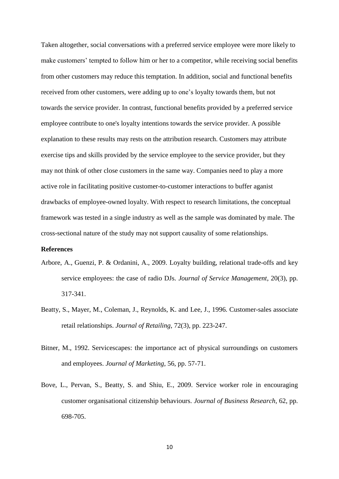Taken altogether, social conversations with a preferred service employee were more likely to make customers' tempted to follow him or her to a competitor, while receiving social benefits from other customers may reduce this temptation. In addition, social and functional benefits received from other customers, were adding up to one's loyalty towards them, but not towards the service provider. In contrast, functional benefits provided by a preferred service employee contribute to one's loyalty intentions towards the service provider. A possible explanation to these results may rests on the attribution research. Customers may attribute exercise tips and skills provided by the service employee to the service provider, but they may not think of other close customers in the same way. Companies need to play a more active role in facilitating positive customer-to-customer interactions to buffer aganist drawbacks of employee-owned loyalty. With respect to research limitations, the conceptual framework was tested in a single industry as well as the sample was dominated by male. The cross-sectional nature of the study may not support causality of some relationships.

#### **References**

- Arbore, A., Guenzi, P. & Ordanini, A., 2009. Loyalty building, relational trade-offs and key service employees: the case of radio DJs*. Journal of Service Management*, 20(3), pp. 317-341.
- Beatty, S., Mayer, M., Coleman, J., Reynolds, K. and Lee, J., 1996. Customer-sales associate retail relationships. *Journal of Retailing*, 72(3), pp. 223-247.
- Bitner, M., 1992. Servicescapes: the importance act of physical surroundings on customers and employees. *Journal of Marketing*, 56, pp. 57-71.
- Bove, L., Pervan, S., Beatty, S. and Shiu, E., 2009. Service worker role in encouraging customer organisational citizenship behaviours. *Journal of Business Research*, 62, pp. 698-705.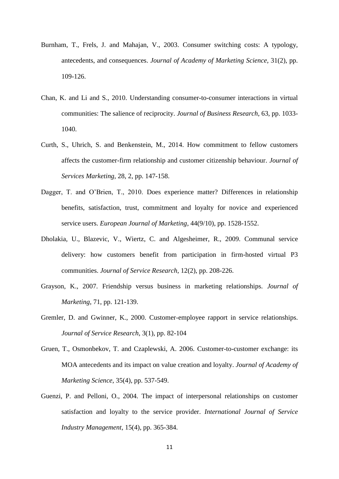- Burnham, T., Frels, J. and Mahajan, V., 2003. Consumer switching costs: A typology, antecedents, and consequences. *Journal of Academy of Marketing Science*, 31(2), pp. 109-126.
- Chan, K. and Li and S., 2010. Understanding consumer-to-consumer interactions in virtual communities: The salience of reciprocity. *Journal of Business Research*, 63, pp. 1033- 1040.
- Curth, S., Uhrich, S. and Benkenstein, M., 2014. How commitment to fellow customers affects the customer-firm relationship and customer citizenship behaviour. *Journal of Services Marketing*, 28, 2, pp. 147-158.
- Dagger, T. and O'Brien, T., 2010. Does experience matter? Differences in relationship benefits, satisfaction, trust, commitment and loyalty for novice and experienced service users. *European Journal of Marketing*, 44(9/10), pp. 1528-1552.
- Dholakia, U., Blazevic, V., Wiertz, C. and Algesheimer, R., 2009. Communal service delivery: how customers benefit from participation in firm-hosted virtual P3 communities. *Journal of Service Research*, 12(2), pp. 208-226.
- Grayson, K., 2007. Friendship versus business in marketing relationships. *Journal of Marketing*, 71, pp. 121-139.
- Gremler, D. and Gwinner, K., 2000. Customer-employee rapport in service relationships. *Journal of Service Research*, 3(1), pp. 82-104
- Gruen, T., Osmonbekov, T. and Czaplewski, A. 2006. Customer-to-customer exchange: its MOA antecedents and its impact on value creation and loyalty. *Journal of Academy of Marketing Science*, 35(4), pp. 537-549.
- Guenzi, P. and Pelloni, O., 2004. The impact of interpersonal relationships on customer satisfaction and loyalty to the service provider. *International Journal of Service Industry Management*, 15(4), pp. 365-384.